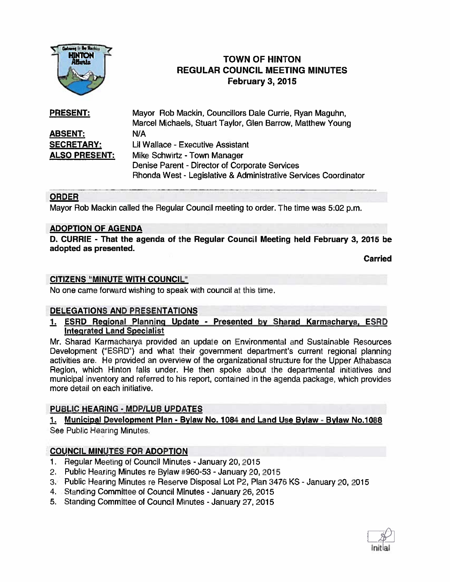

# TOWN OF HINTON REGULAR COUNCIL MEETING MINUTES February 3, 2015

| <b>PRESENT:</b>      | Mayor Rob Mackin, Councillors Dale Currie, Ryan Maguhn,         |
|----------------------|-----------------------------------------------------------------|
|                      | Marcel Michaels, Stuart Taylor, Glen Barrow, Matthew Young      |
| <b>ABSENT:</b>       | N/A                                                             |
| <b>SECRETARY:</b>    | Lil Wallace - Executive Assistant                               |
| <b>ALSO PRESENT:</b> | Mike Schwirtz - Town Manager                                    |
|                      | Denise Parent - Director of Corporate Services                  |
|                      | Rhonda West - Legislative & Administrative Services Coordinator |

# ORDER

Mayor Rob Mackin called the Regular Council meeting to order. The time was 5:02 p.m.

# ADOPTION OF AGENDA

D. CURRIE - That the agenda of the Regular Council Meeting held February 3, 2015 be adopted as presented.

Carried

### CITIZENS "MINUTE WITH COUNCIL"

No one came forward wishing to speak with council at this time.

# DELEGATIONS AND PRESENTATIONS

1. ESRD Regional Planning Update - Presented by Sharad Karmacharya, ESRD Integrated Land Specialist

Mr. Sharad Karmacharya provided an update on Environmental and Sustainable Resources Development ("ESRD") and what their governmen<sup>t</sup> department's current regional planning activities are. He provided an overview of the organizational structure for the Upper Athabasca Region, which Hinton falls under. He then spoke about the departmental initiatives and municipal inventory and referred to his report, contained in the agenda package, which provides more detail on each initiative.

# PUBLIC HEARING - MDP/LUB UPDATES

1. Municipal Development Plan - Bylaw No. 1084 and Land Use Bylaw - Bylaw No.1088 See Public Hearing Minutes.

# COUNCIL MINUTES FOR ADOPTION

- 1. Regular Meeting of Council Minutes January 20, 2015
- 2. Public Hearing Minutes re Bylaw #960-53 -January 20, 2015
- 3.' Public Hearing Minutes re Reserve Disposal Lot P2, Plan 3476 KS January 20, 2015
- 4. Standing Committee of Council Minutes -January 26, 2015
- 5. Standing Committee of Council Minutes January 27, 2015